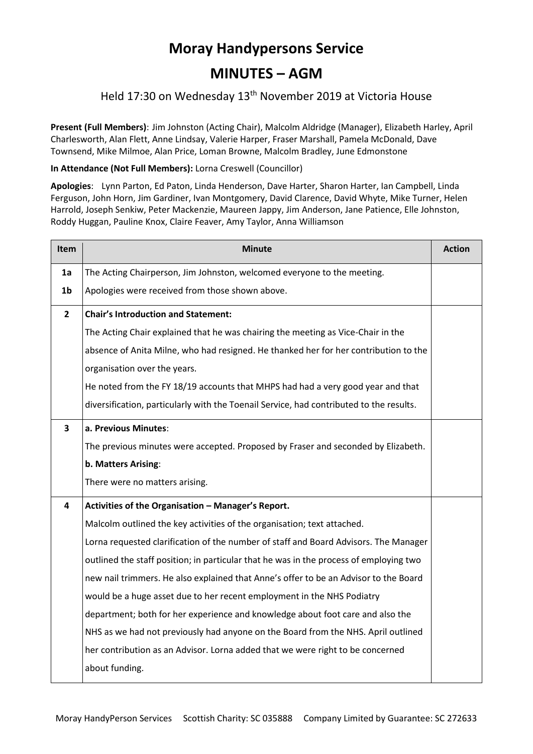# **Moray Handypersons Service**

## **MINUTES – AGM**

## Held 17:30 on Wednesday 13th November 2019 at Victoria House

**Present (Full Members)**: Jim Johnston (Acting Chair), Malcolm Aldridge (Manager), Elizabeth Harley, April Charlesworth, Alan Flett, Anne Lindsay, Valerie Harper, Fraser Marshall, Pamela McDonald, Dave Townsend, Mike Milmoe, Alan Price, Loman Browne, Malcolm Bradley, June Edmonstone

#### **In Attendance (Not Full Members):** Lorna Creswell (Councillor)

**Apologies**: Lynn Parton, Ed Paton, Linda Henderson, Dave Harter, Sharon Harter, Ian Campbell, Linda Ferguson, John Horn, Jim Gardiner, Ivan Montgomery, David Clarence, David Whyte, Mike Turner, Helen Harrold, Joseph Senkiw, Peter Mackenzie, Maureen Jappy, Jim Anderson, Jane Patience, Elle Johnston, Roddy Huggan, Pauline Knox, Claire Feaver, Amy Taylor, Anna Williamson

| <b>Item</b>    | <b>Minute</b>                                                                           | <b>Action</b> |  |
|----------------|-----------------------------------------------------------------------------------------|---------------|--|
| 1a             | The Acting Chairperson, Jim Johnston, welcomed everyone to the meeting.                 |               |  |
| 1 <sub>b</sub> | Apologies were received from those shown above.                                         |               |  |
| $\overline{2}$ | <b>Chair's Introduction and Statement:</b>                                              |               |  |
|                | The Acting Chair explained that he was chairing the meeting as Vice-Chair in the        |               |  |
|                | absence of Anita Milne, who had resigned. He thanked her for her contribution to the    |               |  |
|                | organisation over the years.                                                            |               |  |
|                | He noted from the FY 18/19 accounts that MHPS had had a very good year and that         |               |  |
|                | diversification, particularly with the Toenail Service, had contributed to the results. |               |  |
| 3              | a. Previous Minutes:                                                                    |               |  |
|                | The previous minutes were accepted. Proposed by Fraser and seconded by Elizabeth.       |               |  |
|                | b. Matters Arising:                                                                     |               |  |
|                | There were no matters arising.                                                          |               |  |
| 4              | Activities of the Organisation - Manager's Report.                                      |               |  |
|                | Malcolm outlined the key activities of the organisation; text attached.                 |               |  |
|                | Lorna requested clarification of the number of staff and Board Advisors. The Manager    |               |  |
|                | outlined the staff position; in particular that he was in the process of employing two  |               |  |
|                | new nail trimmers. He also explained that Anne's offer to be an Advisor to the Board    |               |  |
|                | would be a huge asset due to her recent employment in the NHS Podiatry                  |               |  |
|                | department; both for her experience and knowledge about foot care and also the          |               |  |
|                | NHS as we had not previously had anyone on the Board from the NHS. April outlined       |               |  |
|                | her contribution as an Advisor. Lorna added that we were right to be concerned          |               |  |
|                | about funding.                                                                          |               |  |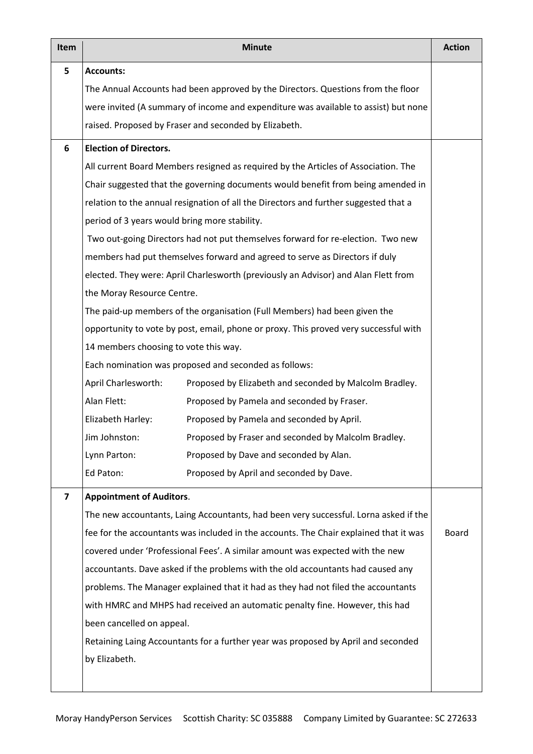| Item           | <b>Minute</b>                                                                         |                                                                                      |  |  |  |  |
|----------------|---------------------------------------------------------------------------------------|--------------------------------------------------------------------------------------|--|--|--|--|
| 5              | <b>Accounts:</b>                                                                      |                                                                                      |  |  |  |  |
|                | The Annual Accounts had been approved by the Directors. Questions from the floor      |                                                                                      |  |  |  |  |
|                | were invited (A summary of income and expenditure was available to assist) but none   |                                                                                      |  |  |  |  |
|                | raised. Proposed by Fraser and seconded by Elizabeth.                                 |                                                                                      |  |  |  |  |
| 6              | <b>Election of Directors.</b>                                                         |                                                                                      |  |  |  |  |
|                | All current Board Members resigned as required by the Articles of Association. The    |                                                                                      |  |  |  |  |
|                | Chair suggested that the governing documents would benefit from being amended in      |                                                                                      |  |  |  |  |
|                | relation to the annual resignation of all the Directors and further suggested that a  |                                                                                      |  |  |  |  |
|                | period of 3 years would bring more stability.                                         |                                                                                      |  |  |  |  |
|                | Two out-going Directors had not put themselves forward for re-election. Two new       |                                                                                      |  |  |  |  |
|                | members had put themselves forward and agreed to serve as Directors if duly           |                                                                                      |  |  |  |  |
|                | elected. They were: April Charlesworth (previously an Advisor) and Alan Flett from    |                                                                                      |  |  |  |  |
|                | the Moray Resource Centre.                                                            |                                                                                      |  |  |  |  |
|                | The paid-up members of the organisation (Full Members) had been given the             |                                                                                      |  |  |  |  |
|                | opportunity to vote by post, email, phone or proxy. This proved very successful with  |                                                                                      |  |  |  |  |
|                | 14 members choosing to vote this way.                                                 |                                                                                      |  |  |  |  |
|                | Each nomination was proposed and seconded as follows:                                 |                                                                                      |  |  |  |  |
|                | April Charlesworth:                                                                   | Proposed by Elizabeth and seconded by Malcolm Bradley.                               |  |  |  |  |
|                | Alan Flett:                                                                           | Proposed by Pamela and seconded by Fraser.                                           |  |  |  |  |
|                | Elizabeth Harley:                                                                     | Proposed by Pamela and seconded by April.                                            |  |  |  |  |
|                | Jim Johnston:                                                                         | Proposed by Fraser and seconded by Malcolm Bradley.                                  |  |  |  |  |
|                | Lynn Parton:                                                                          | Proposed by Dave and seconded by Alan.                                               |  |  |  |  |
|                | Ed Paton:                                                                             | Proposed by April and seconded by Dave.                                              |  |  |  |  |
| $\overline{ }$ |                                                                                       | <b>Appointment of Auditors.</b>                                                      |  |  |  |  |
|                |                                                                                       | The new accountants, Laing Accountants, had been very successful. Lorna asked if the |  |  |  |  |
|                | fee for the accountants was included in the accounts. The Chair explained that it was |                                                                                      |  |  |  |  |
|                | covered under 'Professional Fees'. A similar amount was expected with the new         |                                                                                      |  |  |  |  |
|                | accountants. Dave asked if the problems with the old accountants had caused any       |                                                                                      |  |  |  |  |
|                | problems. The Manager explained that it had as they had not filed the accountants     |                                                                                      |  |  |  |  |
|                | with HMRC and MHPS had received an automatic penalty fine. However, this had          |                                                                                      |  |  |  |  |
|                | been cancelled on appeal.                                                             |                                                                                      |  |  |  |  |
|                | Retaining Laing Accountants for a further year was proposed by April and seconded     |                                                                                      |  |  |  |  |
|                | by Elizabeth.                                                                         |                                                                                      |  |  |  |  |
|                |                                                                                       |                                                                                      |  |  |  |  |
|                |                                                                                       |                                                                                      |  |  |  |  |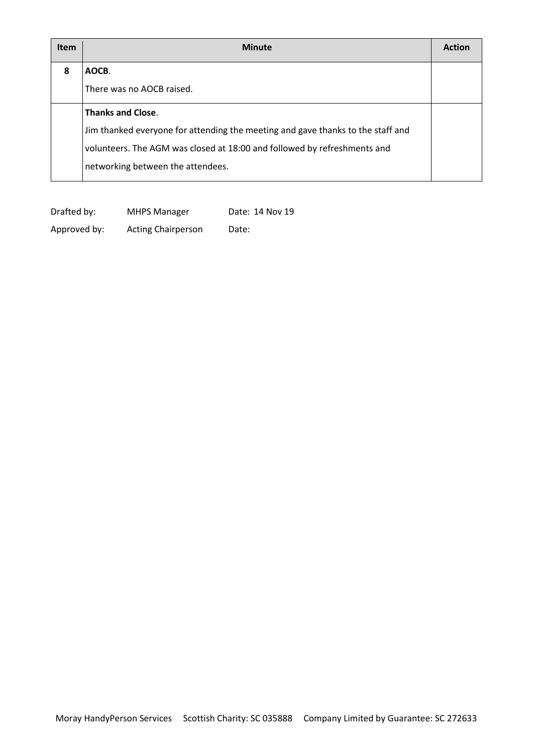| <b>Item</b> | <b>Minute</b>                                                                   | Actio |
|-------------|---------------------------------------------------------------------------------|-------|
| 8           | AOCB.                                                                           |       |
|             | There was no AOCB raised.                                                       |       |
|             | <b>Thanks and Close.</b>                                                        |       |
|             | Jim thanked everyone for attending the meeting and gave thanks to the staff and |       |
|             | volunteers. The AGM was closed at 18:00 and followed by refreshments and        |       |
|             | networking between the attendees.                                               |       |

| Drafted by:  | <b>MHPS Manager</b>       | Date: 14 Nov 19 |
|--------------|---------------------------|-----------------|
| Approved by: | <b>Acting Chairperson</b> | Date:           |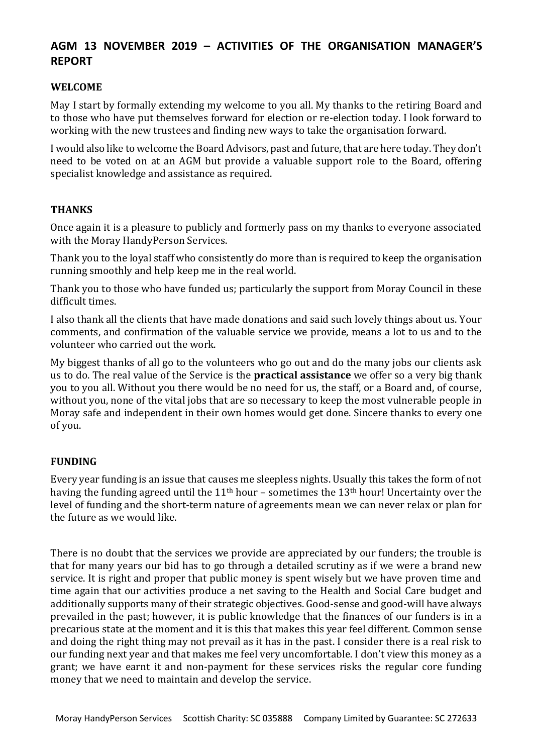### **AGM 13 NOVEMBER 2019 – ACTIVITIES OF THE ORGANISATION MANAGER'S REPORT**

#### **WELCOME**

May I start by formally extending my welcome to you all. My thanks to the retiring Board and to those who have put themselves forward for election or re-election today. I look forward to working with the new trustees and finding new ways to take the organisation forward.

I would also like to welcome the Board Advisors, past and future, that are here today. They don't need to be voted on at an AGM but provide a valuable support role to the Board, offering specialist knowledge and assistance as required.

#### **THANKS**

Once again it is a pleasure to publicly and formerly pass on my thanks to everyone associated with the Moray HandyPerson Services.

Thank you to the loyal staff who consistently do more than is required to keep the organisation running smoothly and help keep me in the real world.

Thank you to those who have funded us; particularly the support from Moray Council in these difficult times.

I also thank all the clients that have made donations and said such lovely things about us. Your comments, and confirmation of the valuable service we provide, means a lot to us and to the volunteer who carried out the work.

My biggest thanks of all go to the volunteers who go out and do the many jobs our clients ask us to do. The real value of the Service is the **practical assistance** we offer so a very big thank you to you all. Without you there would be no need for us, the staff, or a Board and, of course, without you, none of the vital jobs that are so necessary to keep the most vulnerable people in Moray safe and independent in their own homes would get done. Sincere thanks to every one of you.

#### **FUNDING**

Every year funding is an issue that causes me sleepless nights. Usually this takes the form of not having the funding agreed until the  $11<sup>th</sup>$  hour – sometimes the  $13<sup>th</sup>$  hour! Uncertainty over the level of funding and the short-term nature of agreements mean we can never relax or plan for the future as we would like.

There is no doubt that the services we provide are appreciated by our funders; the trouble is that for many years our bid has to go through a detailed scrutiny as if we were a brand new service. It is right and proper that public money is spent wisely but we have proven time and time again that our activities produce a net saving to the Health and Social Care budget and additionally supports many of their strategic objectives. Good-sense and good-will have always prevailed in the past; however, it is public knowledge that the finances of our funders is in a precarious state at the moment and it is this that makes this year feel different. Common sense and doing the right thing may not prevail as it has in the past. I consider there is a real risk to our funding next year and that makes me feel very uncomfortable. I don't view this money as a grant; we have earnt it and non-payment for these services risks the regular core funding money that we need to maintain and develop the service.